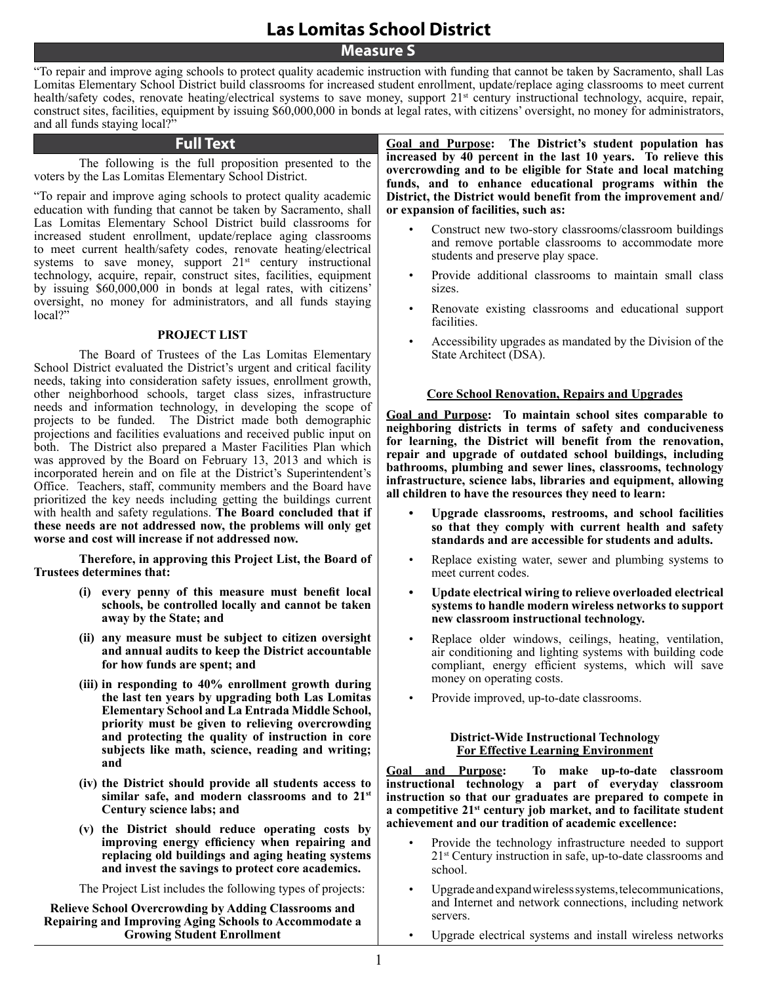**Measure S**

"To repair and improve aging schools to protect quality academic instruction with funding that cannot be taken by Sacramento, shall Las Lomitas Elementary School District build classrooms for increased student enrollment, update/replace aging classrooms to meet current health/safety codes, renovate heating/electrical systems to save money, support 21<sup>st</sup> century instructional technology, acquire, repair, construct sites, facilities, equipment by issuing \$60,000,000 in bonds at legal rates, with citizens' oversight, no money for administrators, and all funds staying local?"

### **Full Text**

The following is the full proposition presented to the voters by the Las Lomitas Elementary School District.

"To repair and improve aging schools to protect quality academic education with funding that cannot be taken by Sacramento, shall Las Lomitas Elementary School District build classrooms for increased student enrollment, update/replace aging classrooms to meet current health/safety codes, renovate heating/electrical systems to save money, support  $21<sup>st</sup>$  century instructional technology, acquire, repair, construct sites, facilities, equipment by issuing \$60,000,000 in bonds at legal rates, with citizens' oversight, no money for administrators, and all funds staying local?"

### **PROJECT LIST**

The Board of Trustees of the Las Lomitas Elementary School District evaluated the District's urgent and critical facility needs, taking into consideration safety issues, enrollment growth, other neighborhood schools, target class sizes, infrastructure needs and information technology, in developing the scope of projects to be funded. The District made both demographic projections and facilities evaluations and received public input on both. The District also prepared a Master Facilities Plan which was approved by the Board on February 13, 2013 and which is incorporated herein and on file at the District's Superintendent's Office. Teachers, staff, community members and the Board have prioritized the key needs including getting the buildings current with health and safety regulations. **The Board concluded that if these needs are not addressed now, the problems will only get worse and cost will increase if not addressed now.**

**Therefore, in approving this Project List, the Board of Trustees determines that:**

- **(i) every penny of this measure must benefit local schools, be controlled locally and cannot be taken away by the State; and**
- **(ii) any measure must be subject to citizen oversight and annual audits to keep the District accountable for how funds are spent; and**
- **(iii) in responding to 40% enrollment growth during the last ten years by upgrading both Las Lomitas Elementary School and La Entrada Middle School, priority must be given to relieving overcrowding and protecting the quality of instruction in core subjects like math, science, reading and writing; and**
- **(iv) the District should provide all students access to similar safe, and modern classrooms and to 21st Century science labs; and**
- **(v) the District should reduce operating costs by improving energy efficiency when repairing and replacing old buildings and aging heating systems and invest the savings to protect core academics.**

The Project List includes the following types of projects:

**Relieve School Overcrowding by Adding Classrooms and Repairing and Improving Aging Schools to Accommodate a Growing Student Enrollment**

**Goal and Purpose: The District's student population has increased by 40 percent in the last 10 years. To relieve this overcrowding and to be eligible for State and local matching funds, and to enhance educational programs within the District, the District would benefit from the improvement and/ or expansion of facilities, such as:**

- Construct new two-story classrooms/classroom buildings and remove portable classrooms to accommodate more students and preserve play space.
- Provide additional classrooms to maintain small class sizes.
- Renovate existing classrooms and educational support facilities.
- Accessibility upgrades as mandated by the Division of the State Architect (DSA).

### **Core School Renovation, Repairs and Upgrades**

**Goal and Purpose: To maintain school sites comparable to neighboring districts in terms of safety and conduciveness for learning, the District will benefit from the renovation, repair and upgrade of outdated school buildings, including bathrooms, plumbing and sewer lines, classrooms, technology infrastructure, science labs, libraries and equipment, allowing all children to have the resources they need to learn:**

- **• Upgrade classrooms, restrooms, and school facilities so that they comply with current health and safety standards and are accessible for students and adults.**
- Replace existing water, sewer and plumbing systems to meet current codes.
- Update electrical wiring to relieve overloaded electrical **systems to handle modern wireless networks to support new classroom instructional technology.**
- Replace older windows, ceilings, heating, ventilation, air conditioning and lighting systems with building code compliant, energy efficient systems, which will save money on operating costs.
- Provide improved, up-to-date classrooms.

#### **District-Wide Instructional Technology For Effective Learning Environment**

**Goal and Purpose: To make up-to-date classroom instructional technology a part of everyday classroom instruction so that our graduates are prepared to compete in a competitive 21st century job market, and to facilitate student achievement and our tradition of academic excellence:**

- Provide the technology infrastructure needed to support 21st Century instruction in safe, up-to-date classrooms and school.
- Upgrade and expand wireless systems, telecommunications, and Internet and network connections, including network servers.
- Upgrade electrical systems and install wireless networks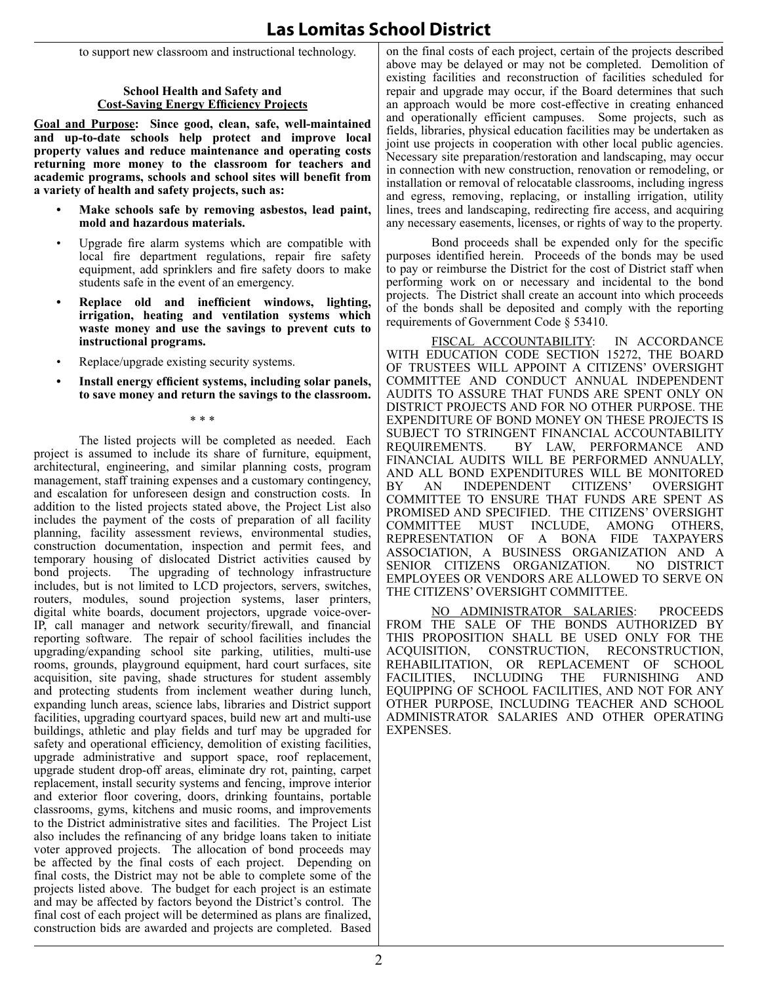to support new classroom and instructional technology.

### **School Health and Safety and Cost-Saving Energy Efficiency Projects**

**Goal and Purpose: Since good, clean, safe, well-maintained and up-to-date schools help protect and improve local property values and reduce maintenance and operating costs returning more money to the classroom for teachers and academic programs, schools and school sites will benefit from a variety of health and safety projects, such as:**

- Make schools safe by removing asbestos, lead paint, **mold and hazardous materials.**
- Upgrade fire alarm systems which are compatible with local fire department regulations, repair fire safety equipment, add sprinklers and fire safety doors to make students safe in the event of an emergency.
- **• Replace old and inefficient windows, lighting, irrigation, heating and ventilation systems which waste money and use the savings to prevent cuts to instructional programs.**
- Replace/upgrade existing security systems.
- **• Install energy efficient systems, including solar panels, to save money and return the savings to the classroom.**

\* \* \*

The listed projects will be completed as needed. Each project is assumed to include its share of furniture, equipment, architectural, engineering, and similar planning costs, program management, staff training expenses and a customary contingency, and escalation for unforeseen design and construction costs. In addition to the listed projects stated above, the Project List also includes the payment of the costs of preparation of all facility planning, facility assessment reviews, environmental studies, construction documentation, inspection and permit fees, and temporary housing of dislocated District activities caused by bond projects. The upgrading of technology infrastructure The upgrading of technology infrastructure includes, but is not limited to LCD projectors, servers, switches, routers, modules, sound projection systems, laser printers, digital white boards, document projectors, upgrade voice-over-IP, call manager and network security/firewall, and financial reporting software. The repair of school facilities includes the upgrading/expanding school site parking, utilities, multi-use rooms, grounds, playground equipment, hard court surfaces, site acquisition, site paving, shade structures for student assembly and protecting students from inclement weather during lunch, expanding lunch areas, science labs, libraries and District support facilities, upgrading courtyard spaces, build new art and multi-use buildings, athletic and play fields and turf may be upgraded for safety and operational efficiency, demolition of existing facilities, upgrade administrative and support space, roof replacement, upgrade student drop-off areas, eliminate dry rot, painting, carpet replacement, install security systems and fencing, improve interior and exterior floor covering, doors, drinking fountains, portable classrooms, gyms, kitchens and music rooms, and improvements to the District administrative sites and facilities. The Project List also includes the refinancing of any bridge loans taken to initiate voter approved projects. The allocation of bond proceeds may be affected by the final costs of each project. Depending on final costs, the District may not be able to complete some of the projects listed above. The budget for each project is an estimate and may be affected by factors beyond the District's control. The final cost of each project will be determined as plans are finalized, construction bids are awarded and projects are completed. Based

on the final costs of each project, certain of the projects described above may be delayed or may not be completed. Demolition of existing facilities and reconstruction of facilities scheduled for repair and upgrade may occur, if the Board determines that such an approach would be more cost-effective in creating enhanced and operationally efficient campuses. Some projects, such as fields, libraries, physical education facilities may be undertaken as joint use projects in cooperation with other local public agencies. Necessary site preparation/restoration and landscaping, may occur in connection with new construction, renovation or remodeling, or installation or removal of relocatable classrooms, including ingress and egress, removing, replacing, or installing irrigation, utility lines, trees and landscaping, redirecting fire access, and acquiring any necessary easements, licenses, or rights of way to the property.

Bond proceeds shall be expended only for the specific purposes identified herein. Proceeds of the bonds may be used to pay or reimburse the District for the cost of District staff when performing work on or necessary and incidental to the bond projects. The District shall create an account into which proceeds of the bonds shall be deposited and comply with the reporting requirements of Government Code § 53410.

FISCAL ACCOUNTABILITY: IN ACCORDANCE WITH EDUCATION CODE SECTION 15272, THE B of trustees will appoint a citizens' oversight committee and conduct annual independent audits to assure that funds are spent only on district projects and for no other purpose. The expenditure of bond money on these projects is SUBJECT TO STRINGENT FINANCIAL ACCOUNTABILITY<br>REQUIREMENTS. BY LAW, PERFORMANCE AND BY LAW, PERFORMANCE AND financial audits will be performed annually, AND ALL BOND EXPENDITURES WILL BE MONITORED<br>BY AN INDEPENDENT CITIZENS' OVERSIGHT INDEPENDENT committee to ensure that funds are spent as promised and specified. The citizens' oversight committee must include, among others, representation of a bona fide taxpayers association, a business organization and a SENIOR CITIZENS ORGANIZATION. employees or vendors are allowed to serve on the citizens' oversight committee.

No Administrator Salaries: Proceeds from the sale of the bonds authorized by this proposition shall be used only for the acquisition, construction, reconstruction, rehabilitation, or replacement of school facilities, including the furnishing and equipping of school facilities, and not for any other purpose, including teacher and school administrator salaries and other operating expenses.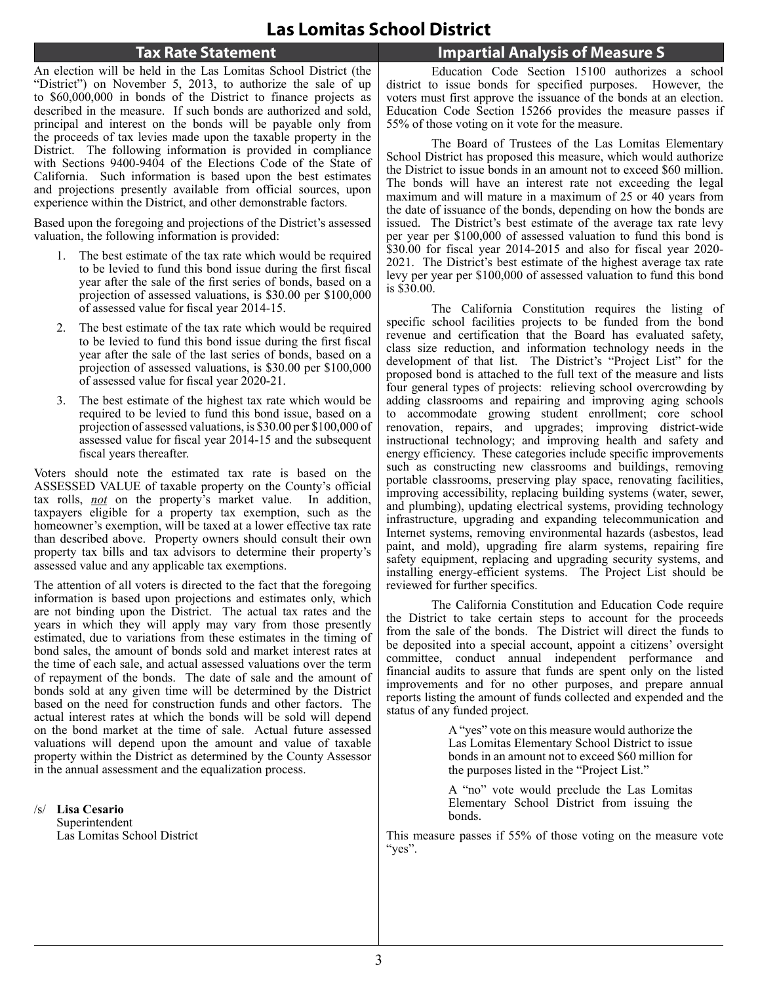### **Tax Rate Statement**

An election will be held in the Las Lomitas School District (the "District") on November 5, 2013, to authorize the sale of up to \$60,000,000 in bonds of the District to finance projects as described in the measure. If such bonds are authorized and sold, principal and interest on the bonds will be payable only from the proceeds of tax levies made upon the taxable property in the District. The following information is provided in compliance with Sections 9400-9404 of the Elections Code of the State of California. Such information is based upon the best estimates and projections presently available from official sources, upon experience within the District, and other demonstrable factors.

Based upon the foregoing and projections of the District's assessed valuation, the following information is provided:

- 1. The best estimate of the tax rate which would be required to be levied to fund this bond issue during the first fiscal year after the sale of the first series of bonds, based on a projection of assessed valuations, is \$30.00 per \$100,000 of assessed value for fiscal year 2014-15.
- 2. The best estimate of the tax rate which would be required to be levied to fund this bond issue during the first fiscal year after the sale of the last series of bonds, based on a projection of assessed valuations, is \$30.00 per \$100,000 of assessed value for fiscal year 2020-21.
- 3. The best estimate of the highest tax rate which would be required to be levied to fund this bond issue, based on a projection of assessed valuations, is \$30.00 per \$100,000 of assessed value for fiscal year 2014-15 and the subsequent fiscal years thereafter.

Voters should note the estimated tax rate is based on the ASSESSED VALUE of taxable property on the County's official tax rolls, *not* on the property's market value. In addition, taxpayers eligible for a property tax exemption, such as the homeowner's exemption, will be taxed at a lower effective tax rate than described above. Property owners should consult their own property tax bills and tax advisors to determine their property's assessed value and any applicable tax exemptions.

The attention of all voters is directed to the fact that the foregoing information is based upon projections and estimates only, which are not binding upon the District. The actual tax rates and the years in which they will apply may vary from those presently estimated, due to variations from these estimates in the timing of bond sales, the amount of bonds sold and market interest rates at the time of each sale, and actual assessed valuations over the term of repayment of the bonds. The date of sale and the amount of bonds sold at any given time will be determined by the District based on the need for construction funds and other factors. The actual interest rates at which the bonds will be sold will depend on the bond market at the time of sale. Actual future assessed valuations will depend upon the amount and value of taxable property within the District as determined by the County Assessor in the annual assessment and the equalization process.

/s/ **Lisa Cesario** Superintendent Las Lomitas School District **Impartial Analysis of Measure S**

Education Code Section 15100 authorizes a school district to issue bonds for specified purposes. However, the voters must first approve the issuance of the bonds at an election. Education Code Section 15266 provides the measure passes if 55% of those voting on it vote for the measure.

The Board of Trustees of the Las Lomitas Elementary School District has proposed this measure, which would authorize the District to issue bonds in an amount not to exceed \$60 million. The bonds will have an interest rate not exceeding the legal maximum and will mature in a maximum of 25 or 40 years from the date of issuance of the bonds, depending on how the bonds are issued. The District's best estimate of the average tax rate levy per year per \$100,000 of assessed valuation to fund this bond is \$30.00 for fiscal year 2014-2015 and also for fiscal year 2020- 2021. The District's best estimate of the highest average tax rate levy per year per \$100,000 of assessed valuation to fund this bond is \$30.00.

The California Constitution requires the listing of specific school facilities projects to be funded from the bond revenue and certification that the Board has evaluated safety, class size reduction, and information technology needs in the development of that list. The District's "Project List" for the proposed bond is attached to the full text of the measure and lists four general types of projects: relieving school overcrowding by adding classrooms and repairing and improving aging schools to accommodate growing student enrollment; core school renovation, repairs, and upgrades; improving district-wide instructional technology; and improving health and safety and energy efficiency. These categories include specific improvements such as constructing new classrooms and buildings, removing portable classrooms, preserving play space, renovating facilities, improving accessibility, replacing building systems (water, sewer, and plumbing), updating electrical systems, providing technology infrastructure, upgrading and expanding telecommunication and Internet systems, removing environmental hazards (asbestos, lead paint, and mold), upgrading fire alarm systems, repairing fire safety equipment, replacing and upgrading security systems, and installing energy-efficient systems. The Project List should be reviewed for further specifics.

The California Constitution and Education Code require the District to take certain steps to account for the proceeds from the sale of the bonds. The District will direct the funds to be deposited into a special account, appoint a citizens' oversight committee, conduct annual independent performance and financial audits to assure that funds are spent only on the listed improvements and for no other purposes, and prepare annual reports listing the amount of funds collected and expended and the status of any funded project.

> A "yes" vote on this measure would authorize the Las Lomitas Elementary School District to issue bonds in an amount not to exceed \$60 million for the purposes listed in the "Project List."

> A "no" vote would preclude the Las Lomitas Elementary School District from issuing the bonds.

This measure passes if 55% of those voting on the measure vote "yes".